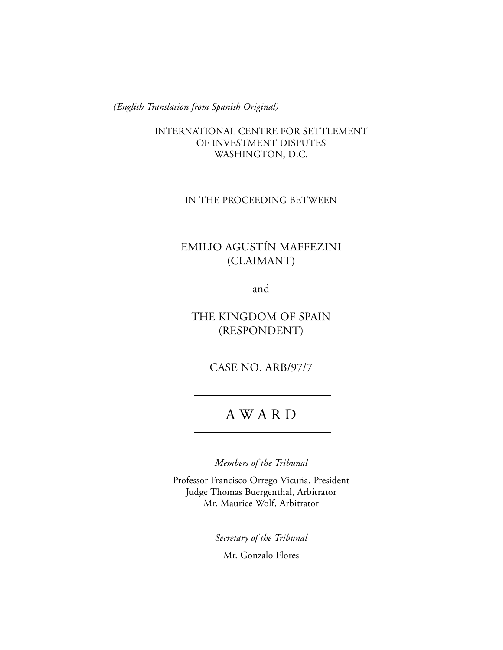*(English Translation from Spanish Original)*

INTERNATIONAL CENTRE FOR SETTLEMENT OF INVESTMENT DISPUTES WASHINGTON, D.C.

IN THE PROCEEDING BETWEEN

# EMILIO AGUSTÍN MAFFEZINI (CLAIMANT)

and

THE KINGDOM OF SPAIN (RESPONDENT)

CASE NO. ARB/97/7

# A W A R D

*Members of the Tribunal*

Professor Francisco Orrego Vicuña, President Judge Thomas Buergenthal, Arbitrator Mr. Maurice Wolf, Arbitrator

> *Secretary of the Tribunal* Mr. Gonzalo Flores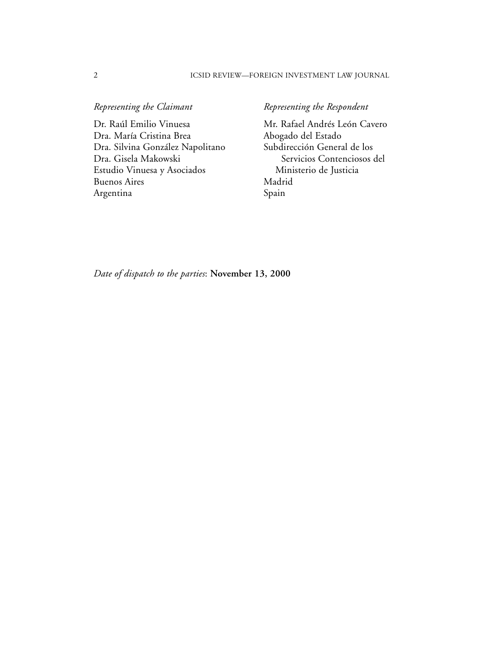#### 2 ICSID REVIEW—FOREIGN INVESTMENT LAW JOURNAL

Dr. Raúl Emilio Vinuesa Mr. Rafael Andrés León Cavero<br>Dra. María Cristina Brea Abogado del Estado Dra. María Cristina Brea Abogado del Estado Dra. Silvina González Napolitano Dra. Gisela Makowski Servicios Contenciosos del Estudio Vinuesa y Asociados Ministerio de Justicia Buenos Aires Madrid Argentina Spain

## *Representing the Claimant* **Representing the Respondent**

*Date of dispatch to the parties*: **November 13, 2000**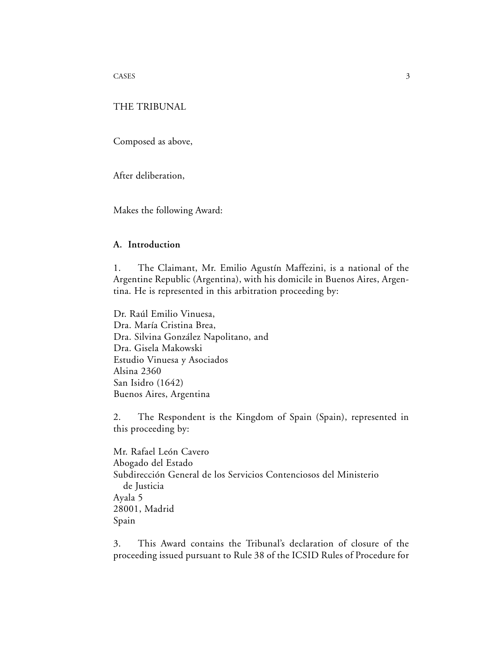CASES 3

## THE TRIBUNAL

Composed as above,

After deliberation,

Makes the following Award:

## **A. Introduction**

1. The Claimant, Mr. Emilio Agustín Maffezini, is a national of the Argentine Republic (Argentina), with his domicile in Buenos Aires, Argentina. He is represented in this arbitration proceeding by:

Dr. Raúl Emilio Vinuesa, Dra. María Cristina Brea, Dra. Silvina González Napolitano, and Dra. Gisela Makowski Estudio Vinuesa y Asociados Alsina 2360 San Isidro (1642) Buenos Aires, Argentina

2. The Respondent is the Kingdom of Spain (Spain), represented in this proceeding by:

Mr. Rafael León Cavero Abogado del Estado Subdirección General de los Servicios Contenciosos del Ministerio de Justicia Ayala 5 28001, Madrid Spain

3. This Award contains the Tribunal's declaration of closure of the proceeding issued pursuant to Rule 38 of the ICSID Rules of Procedure for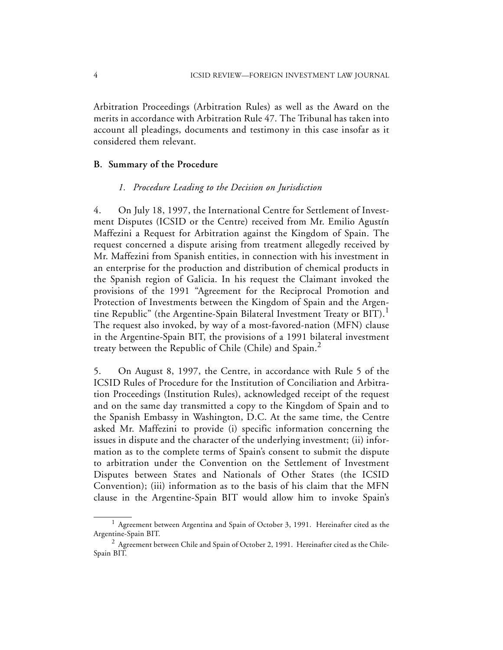Arbitration Proceedings (Arbitration Rules) as well as the Award on the merits in accordance with Arbitration Rule 47. The Tribunal has taken into account all pleadings, documents and testimony in this case insofar as it considered them relevant.

#### **B. Summary of the Procedure**

#### *1. Procedure Leading to the Decision on Jurisdiction*

4. On July 18, 1997, the International Centre for Settlement of Investment Disputes (ICSID or the Centre) received from Mr. Emilio Agustín Maffezini a Request for Arbitration against the Kingdom of Spain. The request concerned a dispute arising from treatment allegedly received by Mr. Maffezini from Spanish entities, in connection with his investment in an enterprise for the production and distribution of chemical products in the Spanish region of Galicia. In his request the Claimant invoked the provisions of the 1991 "Agreement for the Reciprocal Promotion and Protection of Investments between the Kingdom of Spain and the Argentine Republic" (the Argentine-Spain Bilateral Investment Treaty or BIT).<sup>1</sup> The request also invoked, by way of a most-favored-nation (MFN) clause in the Argentine-Spain BIT, the provisions of a 1991 bilateral investment treaty between the Republic of Chile (Chile) and Spain. $<sup>2</sup>$ </sup>

5. On August 8, 1997, the Centre, in accordance with Rule 5 of the ICSID Rules of Procedure for the Institution of Conciliation and Arbitration Proceedings (Institution Rules), acknowledged receipt of the request and on the same day transmitted a copy to the Kingdom of Spain and to the Spanish Embassy in Washington, D.C. At the same time, the Centre asked Mr. Maffezini to provide (i) specific information concerning the issues in dispute and the character of the underlying investment; (ii) information as to the complete terms of Spain's consent to submit the dispute to arbitration under the Convention on the Settlement of Investment Disputes between States and Nationals of Other States (the ICSID Convention); (iii) information as to the basis of his claim that the MFN clause in the Argentine-Spain BIT would allow him to invoke Spain's

 $1$  Agreement between Argentina and Spain of October 3, 1991. Hereinafter cited as the Argentine-Spain BIT.

 $^2$  Agreement between Chile and Spain of October 2, 1991. Hereinafter cited as the Chile-Spain BIT.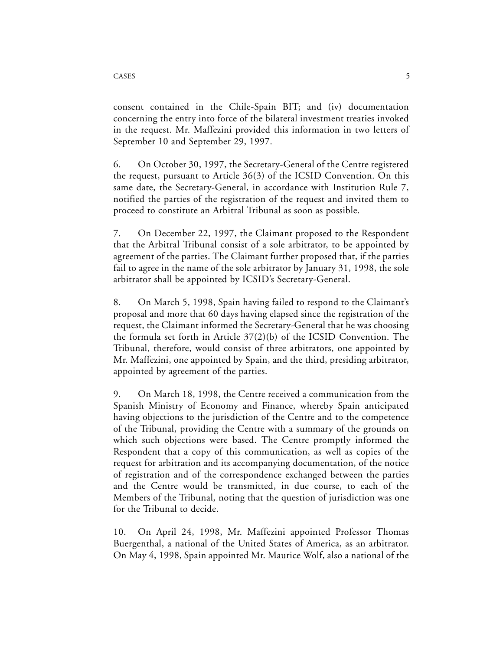consent contained in the Chile-Spain BIT; and (iv) documentation concerning the entry into force of the bilateral investment treaties invoked in the request. Mr. Maffezini provided this information in two letters of September 10 and September 29, 1997.

6. On October 30, 1997, the Secretary-General of the Centre registered the request, pursuant to Article 36(3) of the ICSID Convention. On this same date, the Secretary-General, in accordance with Institution Rule 7, notified the parties of the registration of the request and invited them to proceed to constitute an Arbitral Tribunal as soon as possible.

7. On December 22, 1997, the Claimant proposed to the Respondent that the Arbitral Tribunal consist of a sole arbitrator, to be appointed by agreement of the parties. The Claimant further proposed that, if the parties fail to agree in the name of the sole arbitrator by January 31, 1998, the sole arbitrator shall be appointed by ICSID's Secretary-General.

8. On March 5, 1998, Spain having failed to respond to the Claimant's proposal and more that 60 days having elapsed since the registration of the request, the Claimant informed the Secretary-General that he was choosing the formula set forth in Article 37(2)(b) of the ICSID Convention. The Tribunal, therefore, would consist of three arbitrators, one appointed by Mr. Maffezini, one appointed by Spain, and the third, presiding arbitrator, appointed by agreement of the parties.

9. On March 18, 1998, the Centre received a communication from the Spanish Ministry of Economy and Finance, whereby Spain anticipated having objections to the jurisdiction of the Centre and to the competence of the Tribunal, providing the Centre with a summary of the grounds on which such objections were based. The Centre promptly informed the Respondent that a copy of this communication, as well as copies of the request for arbitration and its accompanying documentation, of the notice of registration and of the correspondence exchanged between the parties and the Centre would be transmitted, in due course, to each of the Members of the Tribunal, noting that the question of jurisdiction was one for the Tribunal to decide.

10. On April 24, 1998, Mr. Maffezini appointed Professor Thomas Buergenthal, a national of the United States of America, as an arbitrator. On May 4, 1998, Spain appointed Mr. Maurice Wolf, also a national of the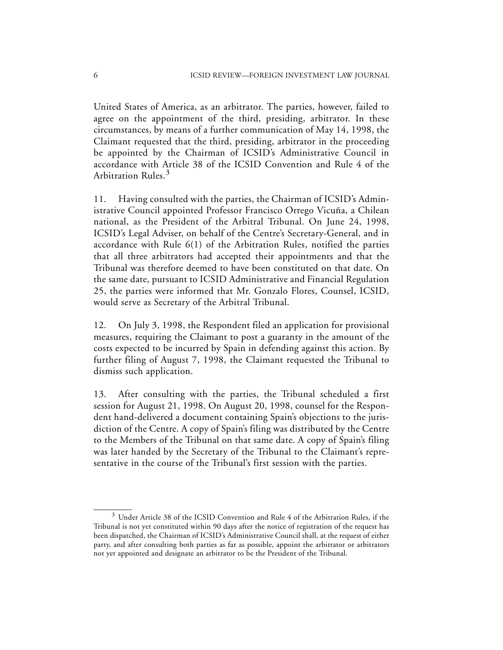United States of America, as an arbitrator. The parties, however, failed to agree on the appointment of the third, presiding, arbitrator. In these circumstances, by means of a further communication of May 14, 1998, the Claimant requested that the third, presiding, arbitrator in the proceeding be appointed by the Chairman of ICSID's Administrative Council in accordance with Article 38 of the ICSID Convention and Rule 4 of the Arbitration Rules.<sup>3</sup>

11. Having consulted with the parties, the Chairman of ICSID's Administrative Council appointed Professor Francisco Orrego Vicuña, a Chilean national, as the President of the Arbitral Tribunal. On June 24, 1998, ICSID's Legal Adviser, on behalf of the Centre's Secretary-General, and in accordance with Rule 6(1) of the Arbitration Rules, notified the parties that all three arbitrators had accepted their appointments and that the Tribunal was therefore deemed to have been constituted on that date. On the same date, pursuant to ICSID Administrative and Financial Regulation 25, the parties were informed that Mr. Gonzalo Flores, Counsel, ICSID, would serve as Secretary of the Arbitral Tribunal.

12. On July 3, 1998, the Respondent filed an application for provisional measures, requiring the Claimant to post a guaranty in the amount of the costs expected to be incurred by Spain in defending against this action. By further filing of August 7, 1998, the Claimant requested the Tribunal to dismiss such application.

13. After consulting with the parties, the Tribunal scheduled a first session for August 21, 1998. On August 20, 1998, counsel for the Respondent hand-delivered a document containing Spain's objections to the jurisdiction of the Centre. A copy of Spain's filing was distributed by the Centre to the Members of the Tribunal on that same date. A copy of Spain's filing was later handed by the Secretary of the Tribunal to the Claimant's representative in the course of the Tribunal's first session with the parties.

 $3$  Under Article 38 of the ICSID Convention and Rule 4 of the Arbitration Rules, if the Tribunal is not yet constituted within 90 days after the notice of registration of the request has been dispatched, the Chairman of ICSID's Administrative Council shall, at the request of either party, and after consulting both parties as far as possible, appoint the arbitrator or arbitrators not yet appointed and designate an arbitrator to be the President of the Tribunal.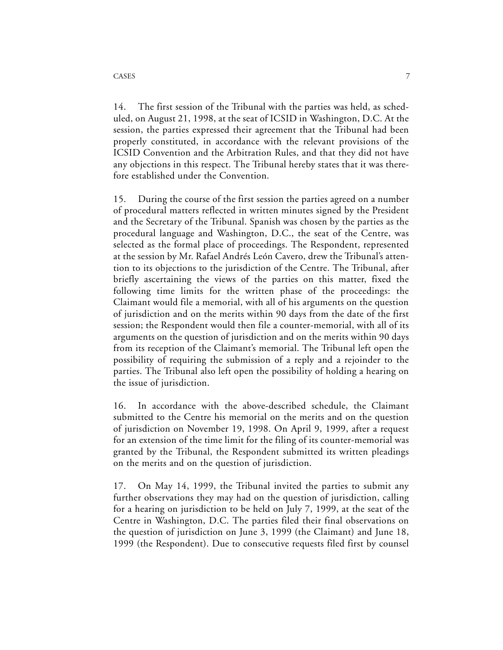14. The first session of the Tribunal with the parties was held, as scheduled, on August 21, 1998, at the seat of ICSID in Washington, D.C. At the session, the parties expressed their agreement that the Tribunal had been properly constituted, in accordance with the relevant provisions of the ICSID Convention and the Arbitration Rules, and that they did not have any objections in this respect. The Tribunal hereby states that it was therefore established under the Convention.

15. During the course of the first session the parties agreed on a number of procedural matters reflected in written minutes signed by the President and the Secretary of the Tribunal. Spanish was chosen by the parties as the procedural language and Washington, D.C., the seat of the Centre, was selected as the formal place of proceedings. The Respondent, represented at the session by Mr. Rafael Andrés León Cavero, drew the Tribunal's attention to its objections to the jurisdiction of the Centre. The Tribunal, after briefly ascertaining the views of the parties on this matter, fixed the following time limits for the written phase of the proceedings: the Claimant would file a memorial, with all of his arguments on the question of jurisdiction and on the merits within 90 days from the date of the first session; the Respondent would then file a counter-memorial, with all of its arguments on the question of jurisdiction and on the merits within 90 days from its reception of the Claimant's memorial. The Tribunal left open the possibility of requiring the submission of a reply and a rejoinder to the parties. The Tribunal also left open the possibility of holding a hearing on the issue of jurisdiction.

16. In accordance with the above-described schedule, the Claimant submitted to the Centre his memorial on the merits and on the question of jurisdiction on November 19, 1998. On April 9, 1999, after a request for an extension of the time limit for the filing of its counter-memorial was granted by the Tribunal, the Respondent submitted its written pleadings on the merits and on the question of jurisdiction.

17. On May 14, 1999, the Tribunal invited the parties to submit any further observations they may had on the question of jurisdiction, calling for a hearing on jurisdiction to be held on July 7, 1999, at the seat of the Centre in Washington, D.C. The parties filed their final observations on the question of jurisdiction on June 3, 1999 (the Claimant) and June 18, 1999 (the Respondent). Due to consecutive requests filed first by counsel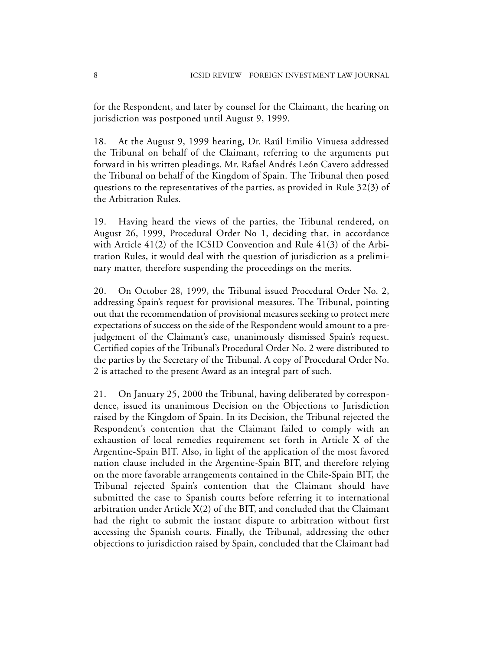for the Respondent, and later by counsel for the Claimant, the hearing on jurisdiction was postponed until August 9, 1999.

18. At the August 9, 1999 hearing, Dr. Raúl Emilio Vinuesa addressed the Tribunal on behalf of the Claimant, referring to the arguments put forward in his written pleadings. Mr. Rafael Andrés León Cavero addressed the Tribunal on behalf of the Kingdom of Spain. The Tribunal then posed questions to the representatives of the parties, as provided in Rule 32(3) of the Arbitration Rules.

19. Having heard the views of the parties, the Tribunal rendered, on August 26, 1999, Procedural Order No 1, deciding that, in accordance with Article 41(2) of the ICSID Convention and Rule 41(3) of the Arbitration Rules, it would deal with the question of jurisdiction as a preliminary matter, therefore suspending the proceedings on the merits.

20. On October 28, 1999, the Tribunal issued Procedural Order No. 2, addressing Spain's request for provisional measures. The Tribunal, pointing out that the recommendation of provisional measures seeking to protect mere expectations of success on the side of the Respondent would amount to a prejudgement of the Claimant's case, unanimously dismissed Spain's request. Certified copies of the Tribunal's Procedural Order No. 2 were distributed to the parties by the Secretary of the Tribunal. A copy of Procedural Order No. 2 is attached to the present Award as an integral part of such.

21. On January 25, 2000 the Tribunal, having deliberated by correspondence, issued its unanimous Decision on the Objections to Jurisdiction raised by the Kingdom of Spain. In its Decision, the Tribunal rejected the Respondent's contention that the Claimant failed to comply with an exhaustion of local remedies requirement set forth in Article X of the Argentine-Spain BIT. Also, in light of the application of the most favored nation clause included in the Argentine-Spain BIT, and therefore relying on the more favorable arrangements contained in the Chile-Spain BIT, the Tribunal rejected Spain's contention that the Claimant should have submitted the case to Spanish courts before referring it to international arbitration under Article X(2) of the BIT, and concluded that the Claimant had the right to submit the instant dispute to arbitration without first accessing the Spanish courts. Finally, the Tribunal, addressing the other objections to jurisdiction raised by Spain, concluded that the Claimant had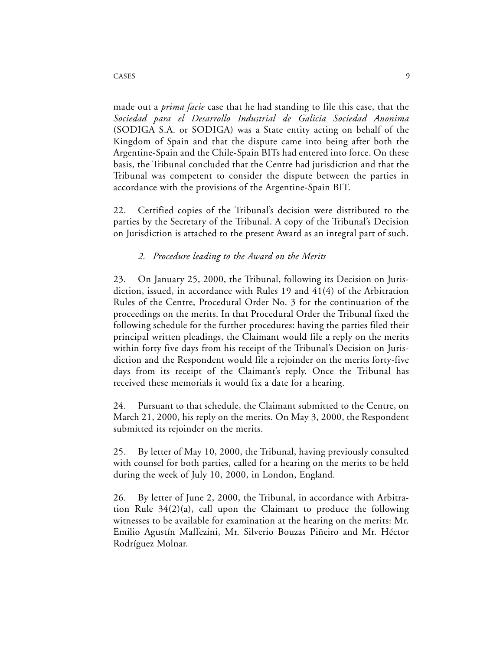made out a *prima facie* case that he had standing to file this case, that the *Sociedad para el Desarrollo Industrial de Galicia Sociedad Anonima* (SODIGA S.A. or SODIGA) was a State entity acting on behalf of the Kingdom of Spain and that the dispute came into being after both the Argentine-Spain and the Chile-Spain BITs had entered into force. On these basis, the Tribunal concluded that the Centre had jurisdiction and that the Tribunal was competent to consider the dispute between the parties in accordance with the provisions of the Argentine-Spain BIT.

22. Certified copies of the Tribunal's decision were distributed to the parties by the Secretary of the Tribunal. A copy of the Tribunal's Decision on Jurisdiction is attached to the present Award as an integral part of such.

## *2. Procedure leading to the Award on the Merits*

23. On January 25, 2000, the Tribunal, following its Decision on Jurisdiction, issued, in accordance with Rules 19 and 41(4) of the Arbitration Rules of the Centre, Procedural Order No. 3 for the continuation of the proceedings on the merits. In that Procedural Order the Tribunal fixed the following schedule for the further procedures: having the parties filed their principal written pleadings, the Claimant would file a reply on the merits within forty five days from his receipt of the Tribunal's Decision on Jurisdiction and the Respondent would file a rejoinder on the merits forty-five days from its receipt of the Claimant's reply. Once the Tribunal has received these memorials it would fix a date for a hearing.

24. Pursuant to that schedule, the Claimant submitted to the Centre, on March 21, 2000, his reply on the merits. On May 3, 2000, the Respondent submitted its rejoinder on the merits.

25. By letter of May 10, 2000, the Tribunal, having previously consulted with counsel for both parties, called for a hearing on the merits to be held during the week of July 10, 2000, in London, England.

26. By letter of June 2, 2000, the Tribunal, in accordance with Arbitration Rule 34(2)(a), call upon the Claimant to produce the following witnesses to be available for examination at the hearing on the merits: Mr. Emilio Agustín Maffezini, Mr. Silverio Bouzas Piñeiro and Mr. Héctor Rodríguez Molnar.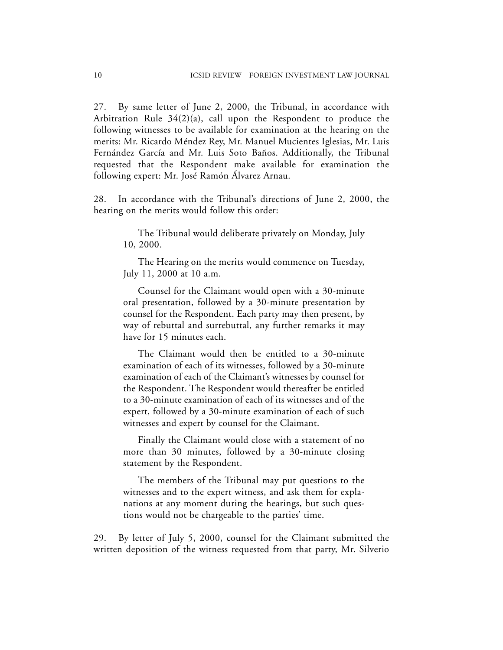27. By same letter of June 2, 2000, the Tribunal, in accordance with Arbitration Rule 34(2)(a), call upon the Respondent to produce the following witnesses to be available for examination at the hearing on the merits: Mr. Ricardo Méndez Rey, Mr. Manuel Mucientes Iglesias, Mr. Luis Fernández García and Mr. Luis Soto Baños. Additionally, the Tribunal requested that the Respondent make available for examination the following expert: Mr. José Ramón Álvarez Arnau.

28. In accordance with the Tribunal's directions of June 2, 2000, the hearing on the merits would follow this order:

> The Tribunal would deliberate privately on Monday, July 10, 2000.

> The Hearing on the merits would commence on Tuesday, July 11, 2000 at 10 a.m.

> Counsel for the Claimant would open with a 30-minute oral presentation, followed by a 30-minute presentation by counsel for the Respondent. Each party may then present, by way of rebuttal and surrebuttal, any further remarks it may have for 15 minutes each.

> The Claimant would then be entitled to a 30-minute examination of each of its witnesses, followed by a 30-minute examination of each of the Claimant's witnesses by counsel for the Respondent. The Respondent would thereafter be entitled to a 30-minute examination of each of its witnesses and of the expert, followed by a 30-minute examination of each of such witnesses and expert by counsel for the Claimant.

> Finally the Claimant would close with a statement of no more than 30 minutes, followed by a 30-minute closing statement by the Respondent.

> The members of the Tribunal may put questions to the witnesses and to the expert witness, and ask them for explanations at any moment during the hearings, but such questions would not be chargeable to the parties' time.

29. By letter of July 5, 2000, counsel for the Claimant submitted the written deposition of the witness requested from that party, Mr. Silverio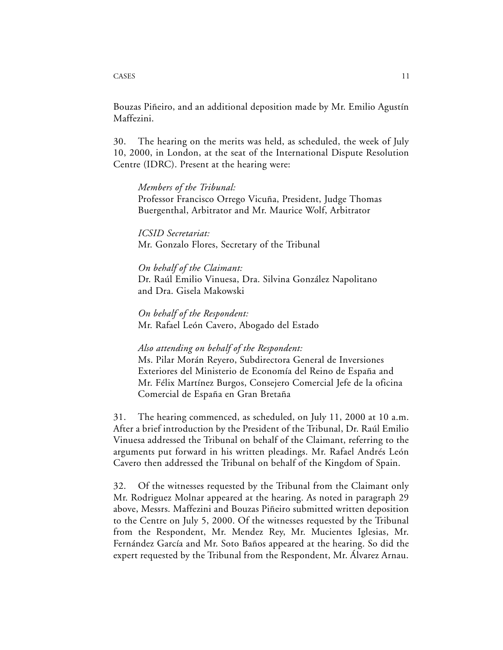#### CASES 11

Bouzas Piñeiro, and an additional deposition made by Mr. Emilio Agustín Maffezini.

30. The hearing on the merits was held, as scheduled, the week of July 10, 2000, in London, at the seat of the International Dispute Resolution Centre (IDRC). Present at the hearing were:

#### *Members of the Tribunal:*

Professor Francisco Orrego Vicuña, President, Judge Thomas Buergenthal, Arbitrator and Mr. Maurice Wolf, Arbitrator

*ICSID Secretariat:* Mr. Gonzalo Flores, Secretary of the Tribunal

## *On behalf of the Claimant:*

Dr. Raúl Emilio Vinuesa, Dra. Silvina González Napolitano and Dra. Gisela Makowski

*On behalf of the Respondent:* Mr. Rafael León Cavero, Abogado del Estado

#### *Also attending on behalf of the Respondent:*

Ms. Pilar Morán Reyero, Subdirectora General de Inversiones Exteriores del Ministerio de Economía del Reino de España and Mr. Félix Martínez Burgos, Consejero Comercial Jefe de la oficina Comercial de España en Gran Bretaña

31. The hearing commenced, as scheduled, on July 11, 2000 at 10 a.m. After a brief introduction by the President of the Tribunal, Dr. Raúl Emilio Vinuesa addressed the Tribunal on behalf of the Claimant, referring to the arguments put forward in his written pleadings. Mr. Rafael Andrés León Cavero then addressed the Tribunal on behalf of the Kingdom of Spain.

32. Of the witnesses requested by the Tribunal from the Claimant only Mr. Rodriguez Molnar appeared at the hearing. As noted in paragraph 29 above, Messrs. Maffezini and Bouzas Piñeiro submitted written deposition to the Centre on July 5, 2000. Of the witnesses requested by the Tribunal from the Respondent, Mr. Mendez Rey, Mr. Mucientes Iglesias, Mr. Fernández García and Mr. Soto Baños appeared at the hearing. So did the expert requested by the Tribunal from the Respondent, Mr. Álvarez Arnau.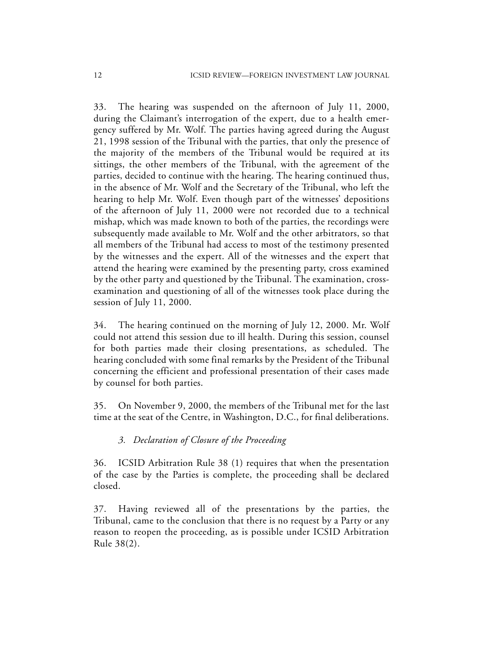33. The hearing was suspended on the afternoon of July 11, 2000, during the Claimant's interrogation of the expert, due to a health emergency suffered by Mr. Wolf. The parties having agreed during the August 21, 1998 session of the Tribunal with the parties, that only the presence of the majority of the members of the Tribunal would be required at its sittings, the other members of the Tribunal, with the agreement of the parties, decided to continue with the hearing. The hearing continued thus, in the absence of Mr. Wolf and the Secretary of the Tribunal, who left the hearing to help Mr. Wolf. Even though part of the witnesses' depositions of the afternoon of July 11, 2000 were not recorded due to a technical mishap, which was made known to both of the parties, the recordings were subsequently made available to Mr. Wolf and the other arbitrators, so that all members of the Tribunal had access to most of the testimony presented by the witnesses and the expert. All of the witnesses and the expert that attend the hearing were examined by the presenting party, cross examined by the other party and questioned by the Tribunal. The examination, crossexamination and questioning of all of the witnesses took place during the session of July 11, 2000.

34. The hearing continued on the morning of July 12, 2000. Mr. Wolf could not attend this session due to ill health. During this session, counsel for both parties made their closing presentations, as scheduled. The hearing concluded with some final remarks by the President of the Tribunal concerning the efficient and professional presentation of their cases made by counsel for both parties.

35. On November 9, 2000, the members of the Tribunal met for the last time at the seat of the Centre, in Washington, D.C., for final deliberations.

## *3. Declaration of Closure of the Proceeding*

36. ICSID Arbitration Rule 38 (1) requires that when the presentation of the case by the Parties is complete, the proceeding shall be declared closed.

37. Having reviewed all of the presentations by the parties, the Tribunal, came to the conclusion that there is no request by a Party or any reason to reopen the proceeding, as is possible under ICSID Arbitration Rule 38(2).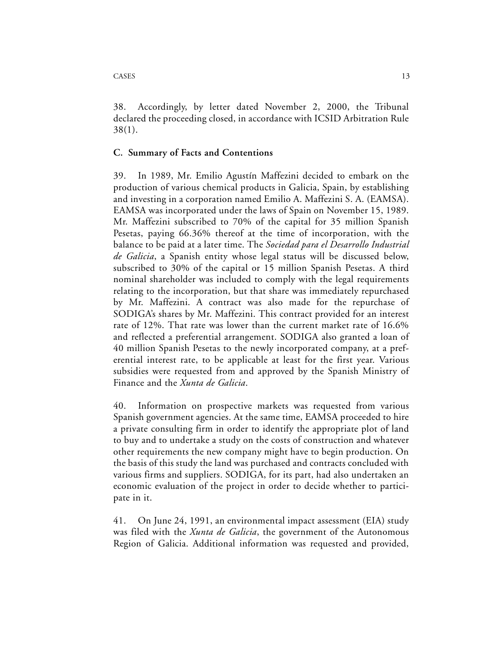38. Accordingly, by letter dated November 2, 2000, the Tribunal declared the proceeding closed, in accordance with ICSID Arbitration Rule 38(1).

## **C. Summary of Facts and Contentions**

39. In 1989, Mr. Emilio Agustín Maffezini decided to embark on the production of various chemical products in Galicia, Spain, by establishing and investing in a corporation named Emilio A. Maffezini S. A. (EAMSA). EAMSA was incorporated under the laws of Spain on November 15, 1989. Mr. Maffezini subscribed to 70% of the capital for 35 million Spanish Pesetas, paying 66.36% thereof at the time of incorporation, with the balance to be paid at a later time. The *Sociedad para el Desarrollo Industrial de Galicia*, a Spanish entity whose legal status will be discussed below, subscribed to 30% of the capital or 15 million Spanish Pesetas. A third nominal shareholder was included to comply with the legal requirements relating to the incorporation, but that share was immediately repurchased by Mr. Maffezini. A contract was also made for the repurchase of SODIGA's shares by Mr. Maffezini. This contract provided for an interest rate of 12%. That rate was lower than the current market rate of 16.6% and reflected a preferential arrangement. SODIGA also granted a loan of 40 million Spanish Pesetas to the newly incorporated company, at a preferential interest rate, to be applicable at least for the first year. Various subsidies were requested from and approved by the Spanish Ministry of Finance and the *Xunta de Galicia*.

40. Information on prospective markets was requested from various Spanish government agencies. At the same time, EAMSA proceeded to hire a private consulting firm in order to identify the appropriate plot of land to buy and to undertake a study on the costs of construction and whatever other requirements the new company might have to begin production. On the basis of this study the land was purchased and contracts concluded with various firms and suppliers. SODIGA, for its part, had also undertaken an economic evaluation of the project in order to decide whether to participate in it.

41. On June 24, 1991, an environmental impact assessment (EIA) study was filed with the *Xunta de Galicia*, the government of the Autonomous Region of Galicia. Additional information was requested and provided,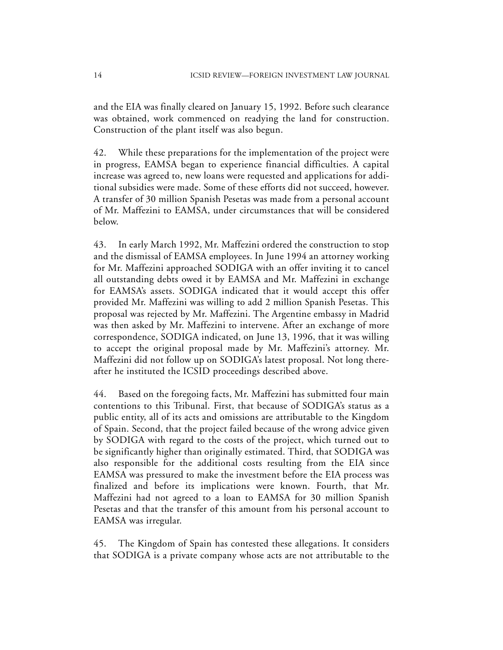and the EIA was finally cleared on January 15, 1992. Before such clearance was obtained, work commenced on readying the land for construction. Construction of the plant itself was also begun.

42. While these preparations for the implementation of the project were in progress, EAMSA began to experience financial difficulties. A capital increase was agreed to, new loans were requested and applications for additional subsidies were made. Some of these efforts did not succeed, however. A transfer of 30 million Spanish Pesetas was made from a personal account of Mr. Maffezini to EAMSA, under circumstances that will be considered below.

43. In early March 1992, Mr. Maffezini ordered the construction to stop and the dismissal of EAMSA employees. In June 1994 an attorney working for Mr. Maffezini approached SODIGA with an offer inviting it to cancel all outstanding debts owed it by EAMSA and Mr. Maffezini in exchange for EAMSA's assets. SODIGA indicated that it would accept this offer provided Mr. Maffezini was willing to add 2 million Spanish Pesetas. This proposal was rejected by Mr. Maffezini. The Argentine embassy in Madrid was then asked by Mr. Maffezini to intervene. After an exchange of more correspondence, SODIGA indicated, on June 13, 1996, that it was willing to accept the original proposal made by Mr. Maffezini's attorney. Mr. Maffezini did not follow up on SODIGA's latest proposal. Not long thereafter he instituted the ICSID proceedings described above.

44. Based on the foregoing facts, Mr. Maffezini has submitted four main contentions to this Tribunal. First, that because of SODIGA's status as a public entity, all of its acts and omissions are attributable to the Kingdom of Spain. Second, that the project failed because of the wrong advice given by SODIGA with regard to the costs of the project, which turned out to be significantly higher than originally estimated. Third, that SODIGA was also responsible for the additional costs resulting from the EIA since EAMSA was pressured to make the investment before the EIA process was finalized and before its implications were known. Fourth, that Mr. Maffezini had not agreed to a loan to EAMSA for 30 million Spanish Pesetas and that the transfer of this amount from his personal account to EAMSA was irregular.

45. The Kingdom of Spain has contested these allegations. It considers that SODIGA is a private company whose acts are not attributable to the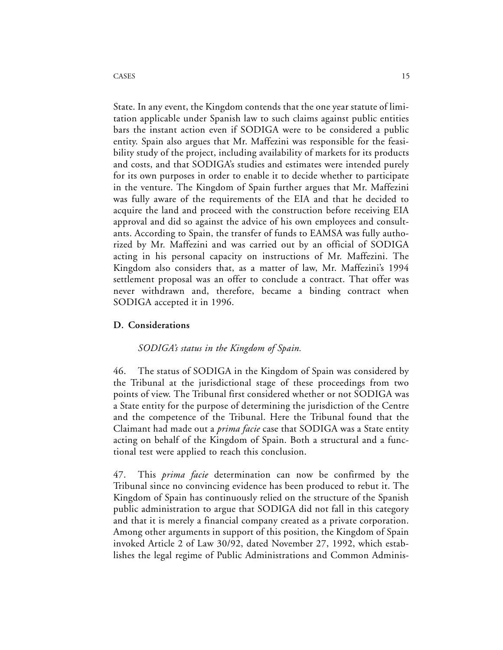State. In any event, the Kingdom contends that the one year statute of limitation applicable under Spanish law to such claims against public entities bars the instant action even if SODIGA were to be considered a public entity. Spain also argues that Mr. Maffezini was responsible for the feasibility study of the project, including availability of markets for its products and costs, and that SODIGA's studies and estimates were intended purely for its own purposes in order to enable it to decide whether to participate in the venture. The Kingdom of Spain further argues that Mr. Maffezini was fully aware of the requirements of the EIA and that he decided to acquire the land and proceed with the construction before receiving EIA approval and did so against the advice of his own employees and consultants. According to Spain, the transfer of funds to EAMSA was fully authorized by Mr. Maffezini and was carried out by an official of SODIGA acting in his personal capacity on instructions of Mr. Maffezini. The Kingdom also considers that, as a matter of law, Mr. Maffezini's 1994 settlement proposal was an offer to conclude a contract. That offer was never withdrawn and, therefore, became a binding contract when SODIGA accepted it in 1996.

### **D. Considerations**

### *SODIGA's status in the Kingdom of Spain.*

46. The status of SODIGA in the Kingdom of Spain was considered by the Tribunal at the jurisdictional stage of these proceedings from two points of view. The Tribunal first considered whether or not SODIGA was a State entity for the purpose of determining the jurisdiction of the Centre and the competence of the Tribunal. Here the Tribunal found that the Claimant had made out a *prima facie* case that SODIGA was a State entity acting on behalf of the Kingdom of Spain. Both a structural and a functional test were applied to reach this conclusion.

47. This *prima facie* determination can now be confirmed by the Tribunal since no convincing evidence has been produced to rebut it. The Kingdom of Spain has continuously relied on the structure of the Spanish public administration to argue that SODIGA did not fall in this category and that it is merely a financial company created as a private corporation. Among other arguments in support of this position, the Kingdom of Spain invoked Article 2 of Law 30/92, dated November 27, 1992, which establishes the legal regime of Public Administrations and Common Adminis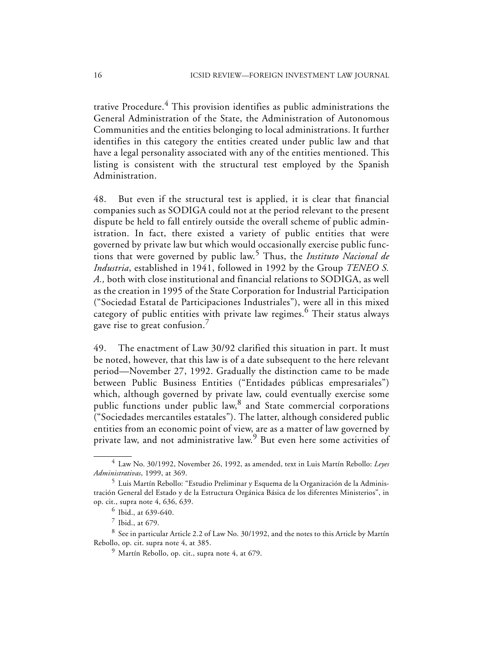trative Procedure.<sup>4</sup> This provision identifies as public administrations the General Administration of the State, the Administration of Autonomous Communities and the entities belonging to local administrations. It further identifies in this category the entities created under public law and that have a legal personality associated with any of the entities mentioned. This listing is consistent with the structural test employed by the Spanish Administration.

48. But even if the structural test is applied, it is clear that financial companies such as SODIGA could not at the period relevant to the present dispute be held to fall entirely outside the overall scheme of public administration. In fact, there existed a variety of public entities that were governed by private law but which would occasionally exercise public functions that were governed by public law.5 Thus, the *Instituto Nacional de Industria*, established in 1941, followed in 1992 by the Group *TENEO S. A.,* both with close institutional and financial relations to SODIGA, as well as the creation in 1995 of the State Corporation for Industrial Participation ("Sociedad Estatal de Participaciones Industriales"), were all in this mixed category of public entities with private law regimes.<sup>6</sup> Their status always gave rise to great confusion.<sup>7</sup>

49. The enactment of Law 30/92 clarified this situation in part. It must be noted, however, that this law is of a date subsequent to the here relevant period—November 27, 1992. Gradually the distinction came to be made between Public Business Entities ("Entidades públicas empresariales") which, although governed by private law, could eventually exercise some public functions under public law,<sup>8</sup> and State commercial corporations ("Sociedades mercantiles estatales"). The latter, although considered public entities from an economic point of view, are as a matter of law governed by private law, and not administrative law.<sup>9</sup> But even here some activities of

<sup>4</sup> Law No. 30/1992, November 26, 1992, as amended, text in Luis Martín Rebollo: *Leyes Administrativas*, 1999, at 369.

<sup>5</sup> Luis Martín Rebollo: "Estudio Preliminar y Esquema de la Organización de la Administración General del Estado y de la Estructura Orgánica Básica de los diferentes Ministerios", in op. cit., supra note 4, 636, 639.

<sup>6</sup> Ibid., at 639-640.

 $^7$  Ibid., at 679.

<sup>8</sup> See in particular Article 2.2 of Law No. 30/1992, and the notes to this Article by Martín Rebollo, op. cit. supra note 4, at 385.

<sup>9</sup> Martín Rebollo, op. cit., supra note 4, at 679.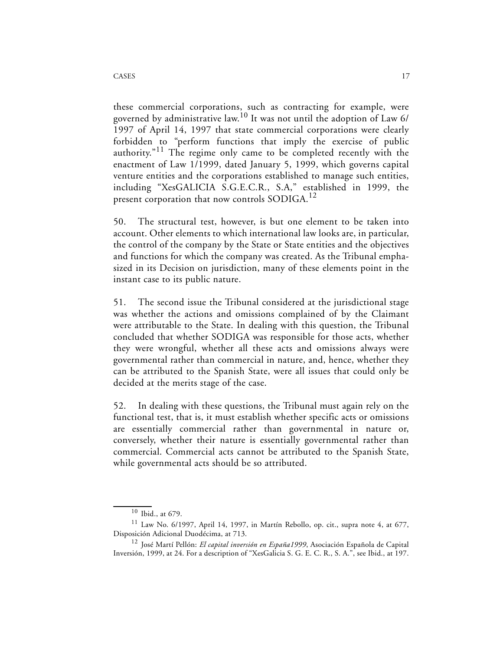these commercial corporations, such as contracting for example, were governed by administrative law.10 It was not until the adoption of Law 6/ 1997 of April 14, 1997 that state commercial corporations were clearly forbidden to "perform functions that imply the exercise of public authority. $11$  The regime only came to be completed recently with the enactment of Law 1/1999, dated January 5, 1999, which governs capital venture entities and the corporations established to manage such entities, including "XesGALICIA S.G.E.C.R., S.A," established in 1999, the present corporation that now controls SODIGA.<sup>12</sup>

50. The structural test, however, is but one element to be taken into account. Other elements to which international law looks are, in particular, the control of the company by the State or State entities and the objectives and functions for which the company was created. As the Tribunal emphasized in its Decision on jurisdiction, many of these elements point in the instant case to its public nature.

51. The second issue the Tribunal considered at the jurisdictional stage was whether the actions and omissions complained of by the Claimant were attributable to the State. In dealing with this question, the Tribunal concluded that whether SODIGA was responsible for those acts, whether they were wrongful, whether all these acts and omissions always were governmental rather than commercial in nature, and, hence, whether they can be attributed to the Spanish State, were all issues that could only be decided at the merits stage of the case.

52. In dealing with these questions, the Tribunal must again rely on the functional test, that is, it must establish whether specific acts or omissions are essentially commercial rather than governmental in nature or, conversely, whether their nature is essentially governmental rather than commercial. Commercial acts cannot be attributed to the Spanish State, while governmental acts should be so attributed.

<sup>10</sup> Ibid., at 679.

 $11$  Law No. 6/1997, April 14, 1997, in Martín Rebollo, op. cit., supra note 4, at 677, Disposición Adicional Duodécima, at 713.

<sup>12</sup> José Martí Pellón: *El capital inversión en España1999*, Asociación Española de Capital Inversión, 1999, at 24. For a description of "XesGalicia S. G. E. C. R., S. A.", see Ibid., at 197.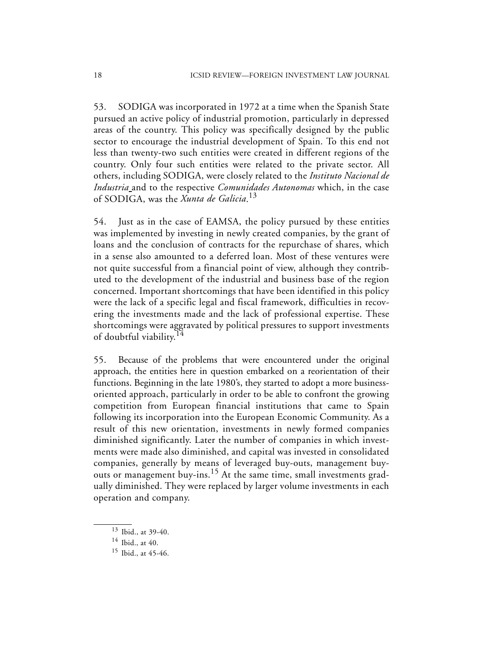53. SODIGA was incorporated in 1972 at a time when the Spanish State pursued an active policy of industrial promotion, particularly in depressed areas of the country. This policy was specifically designed by the public sector to encourage the industrial development of Spain. To this end not less than twenty-two such entities were created in different regions of the country. Only four such entities were related to the private sector. All others, including SODIGA, were closely related to the *Instituto Nacional de Industria* and to the respective *Comunidades Autonomas* which, in the case of SODIGA, was the *Xunta de Galicia*. 13

54. Just as in the case of EAMSA, the policy pursued by these entities was implemented by investing in newly created companies, by the grant of loans and the conclusion of contracts for the repurchase of shares, which in a sense also amounted to a deferred loan. Most of these ventures were not quite successful from a financial point of view, although they contributed to the development of the industrial and business base of the region concerned. Important shortcomings that have been identified in this policy were the lack of a specific legal and fiscal framework, difficulties in recovering the investments made and the lack of professional expertise. These shortcomings were aggravated by political pressures to support investments of doubtful viability.<sup>14</sup>

55. Because of the problems that were encountered under the original approach, the entities here in question embarked on a reorientation of their functions. Beginning in the late 1980's, they started to adopt a more businessoriented approach, particularly in order to be able to confront the growing competition from European financial institutions that came to Spain following its incorporation into the European Economic Community. As a result of this new orientation, investments in newly formed companies diminished significantly. Later the number of companies in which investments were made also diminished, and capital was invested in consolidated companies, generally by means of leveraged buy-outs, management buyouts or management buy-ins.<sup>15</sup> At the same time, small investments gradually diminished. They were replaced by larger volume investments in each operation and company.

<sup>13</sup> Ibid., at 39-40.

 $14$  Ibid., at 40.

<sup>&</sup>lt;sup>15</sup> Ibid., at 45-46.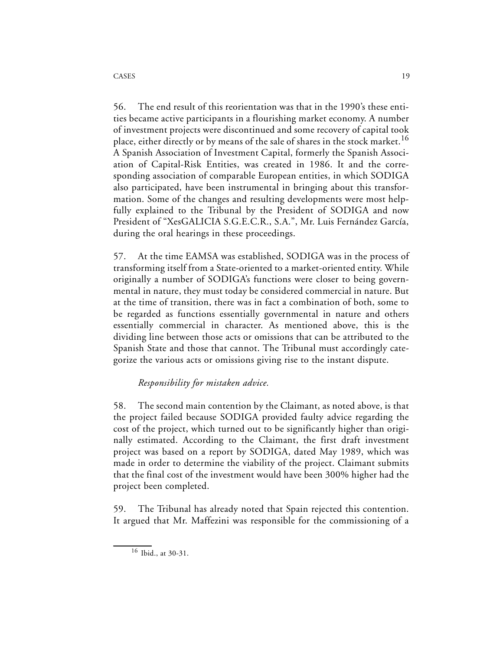56. The end result of this reorientation was that in the 1990's these entities became active participants in a flourishing market economy. A number of investment projects were discontinued and some recovery of capital took place, either directly or by means of the sale of shares in the stock market.<sup>16</sup> A Spanish Association of Investment Capital, formerly the Spanish Association of Capital-Risk Entities, was created in 1986. It and the corresponding association of comparable European entities, in which SODIGA also participated, have been instrumental in bringing about this transformation. Some of the changes and resulting developments were most helpfully explained to the Tribunal by the President of SODIGA and now President of "XesGALICIA S.G.E.C.R., S.A.", Mr. Luis Fernández García, during the oral hearings in these proceedings.

57. At the time EAMSA was established, SODIGA was in the process of transforming itself from a State-oriented to a market-oriented entity. While originally a number of SODIGA's functions were closer to being governmental in nature, they must today be considered commercial in nature. But at the time of transition, there was in fact a combination of both, some to be regarded as functions essentially governmental in nature and others essentially commercial in character. As mentioned above, this is the dividing line between those acts or omissions that can be attributed to the Spanish State and those that cannot. The Tribunal must accordingly categorize the various acts or omissions giving rise to the instant dispute.

## *Responsibility for mistaken advice.*

58. The second main contention by the Claimant, as noted above, is that the project failed because SODIGA provided faulty advice regarding the cost of the project, which turned out to be significantly higher than originally estimated. According to the Claimant, the first draft investment project was based on a report by SODIGA, dated May 1989, which was made in order to determine the viability of the project. Claimant submits that the final cost of the investment would have been 300% higher had the project been completed.

59. The Tribunal has already noted that Spain rejected this contention. It argued that Mr. Maffezini was responsible for the commissioning of a

<sup>16</sup> Ibid., at 30-31.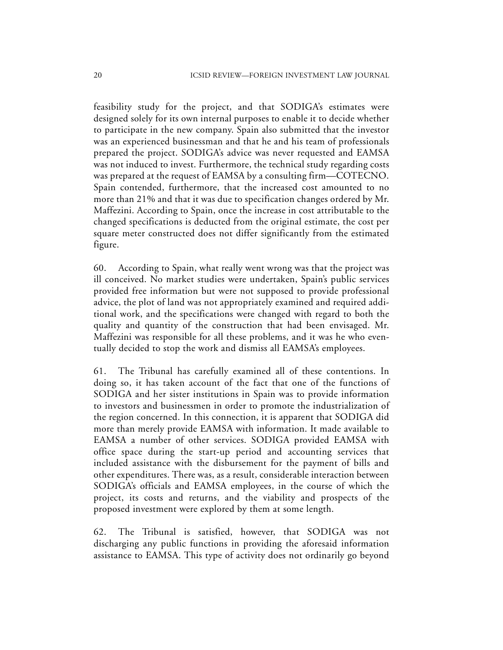feasibility study for the project, and that SODIGA's estimates were designed solely for its own internal purposes to enable it to decide whether to participate in the new company. Spain also submitted that the investor was an experienced businessman and that he and his team of professionals prepared the project. SODIGA's advice was never requested and EAMSA was not induced to invest. Furthermore, the technical study regarding costs was prepared at the request of EAMSA by a consulting firm—COTECNO. Spain contended, furthermore, that the increased cost amounted to no more than 21% and that it was due to specification changes ordered by Mr. Maffezini. According to Spain, once the increase in cost attributable to the changed specifications is deducted from the original estimate, the cost per square meter constructed does not differ significantly from the estimated figure.

60. According to Spain, what really went wrong was that the project was ill conceived. No market studies were undertaken, Spain's public services provided free information but were not supposed to provide professional advice, the plot of land was not appropriately examined and required additional work, and the specifications were changed with regard to both the quality and quantity of the construction that had been envisaged. Mr. Maffezini was responsible for all these problems, and it was he who eventually decided to stop the work and dismiss all EAMSA's employees.

61. The Tribunal has carefully examined all of these contentions. In doing so, it has taken account of the fact that one of the functions of SODIGA and her sister institutions in Spain was to provide information to investors and businessmen in order to promote the industrialization of the region concerned. In this connection, it is apparent that SODIGA did more than merely provide EAMSA with information. It made available to EAMSA a number of other services. SODIGA provided EAMSA with office space during the start-up period and accounting services that included assistance with the disbursement for the payment of bills and other expenditures. There was, as a result, considerable interaction between SODIGA's officials and EAMSA employees, in the course of which the project, its costs and returns, and the viability and prospects of the proposed investment were explored by them at some length.

62. The Tribunal is satisfied, however, that SODIGA was not discharging any public functions in providing the aforesaid information assistance to EAMSA. This type of activity does not ordinarily go beyond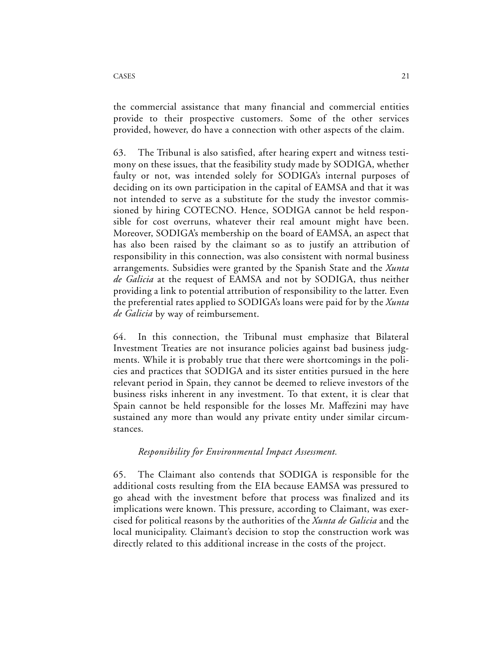the commercial assistance that many financial and commercial entities provide to their prospective customers. Some of the other services provided, however, do have a connection with other aspects of the claim.

63. The Tribunal is also satisfied, after hearing expert and witness testimony on these issues, that the feasibility study made by SODIGA, whether faulty or not, was intended solely for SODIGA's internal purposes of deciding on its own participation in the capital of EAMSA and that it was not intended to serve as a substitute for the study the investor commissioned by hiring COTECNO. Hence, SODIGA cannot be held responsible for cost overruns, whatever their real amount might have been. Moreover, SODIGA's membership on the board of EAMSA, an aspect that has also been raised by the claimant so as to justify an attribution of responsibility in this connection, was also consistent with normal business arrangements. Subsidies were granted by the Spanish State and the *Xunta de Galicia* at the request of EAMSA and not by SODIGA, thus neither providing a link to potential attribution of responsibility to the latter. Even the preferential rates applied to SODIGA's loans were paid for by the *Xunta de Galicia* by way of reimbursement.

64. In this connection, the Tribunal must emphasize that Bilateral Investment Treaties are not insurance policies against bad business judgments. While it is probably true that there were shortcomings in the policies and practices that SODIGA and its sister entities pursued in the here relevant period in Spain, they cannot be deemed to relieve investors of the business risks inherent in any investment. To that extent, it is clear that Spain cannot be held responsible for the losses Mr. Maffezini may have sustained any more than would any private entity under similar circumstances.

### *Responsibility for Environmental Impact Assessment.*

65. The Claimant also contends that SODIGA is responsible for the additional costs resulting from the EIA because EAMSA was pressured to go ahead with the investment before that process was finalized and its implications were known. This pressure, according to Claimant, was exercised for political reasons by the authorities of the *Xunta de Galicia* and the local municipality. Claimant's decision to stop the construction work was directly related to this additional increase in the costs of the project.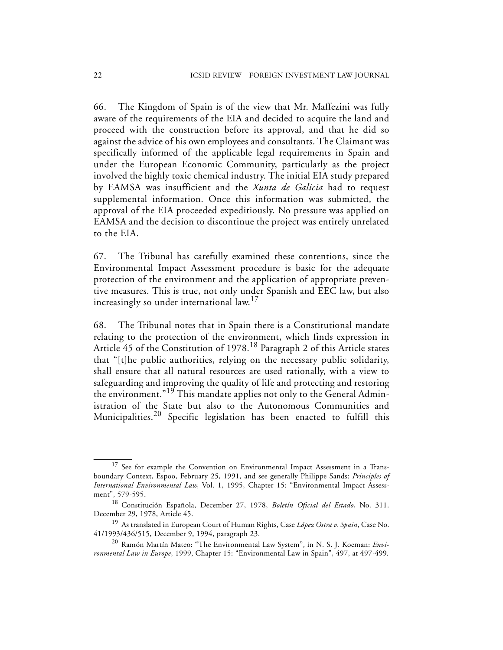66. The Kingdom of Spain is of the view that Mr. Maffezini was fully aware of the requirements of the EIA and decided to acquire the land and proceed with the construction before its approval, and that he did so against the advice of his own employees and consultants. The Claimant was specifically informed of the applicable legal requirements in Spain and under the European Economic Community, particularly as the project involved the highly toxic chemical industry. The initial EIA study prepared by EAMSA was insufficient and the *Xunta de Galicia* had to request supplemental information. Once this information was submitted, the approval of the EIA proceeded expeditiously. No pressure was applied on EAMSA and the decision to discontinue the project was entirely unrelated to the EIA.

67. The Tribunal has carefully examined these contentions, since the Environmental Impact Assessment procedure is basic for the adequate protection of the environment and the application of appropriate preventive measures. This is true, not only under Spanish and EEC law, but also increasingly so under international law.<sup>17</sup>

68. The Tribunal notes that in Spain there is a Constitutional mandate relating to the protection of the environment, which finds expression in Article 45 of the Constitution of 1978.<sup>18</sup> Paragraph 2 of this Article states that "[t]he public authorities, relying on the necessary public solidarity, shall ensure that all natural resources are used rationally, with a view to safeguarding and improving the quality of life and protecting and restoring the environment."19 This mandate applies not only to the General Administration of the State but also to the Autonomous Communities and Municipalities.20 Specific legislation has been enacted to fulfill this

<sup>&</sup>lt;sup>17</sup> See for example the Convention on Environmental Impact Assessment in a Transboundary Context, Espoo, February 25, 1991, and see generally Philippe Sands: *Principles of International Environmental Law*, Vol. 1, 1995, Chapter 15: "Environmental Impact Assessment", 579-595.

<sup>18</sup> Constitución Española, December 27, 1978, *Boletín Oficial del Estado*, No. 311. December 29, 1978, Article 45.

<sup>19</sup> As translated in European Court of Human Rights, Case *López Ostra v. Spain*, Case No. 41/1993/436/515, December 9, 1994, paragraph 23.

<sup>20</sup> Ramón Martín Mateo: "The Environmental Law System", in N. S. J. Koeman: *Environmental Law in Europe*, 1999, Chapter 15: "Environmental Law in Spain", 497, at 497-499.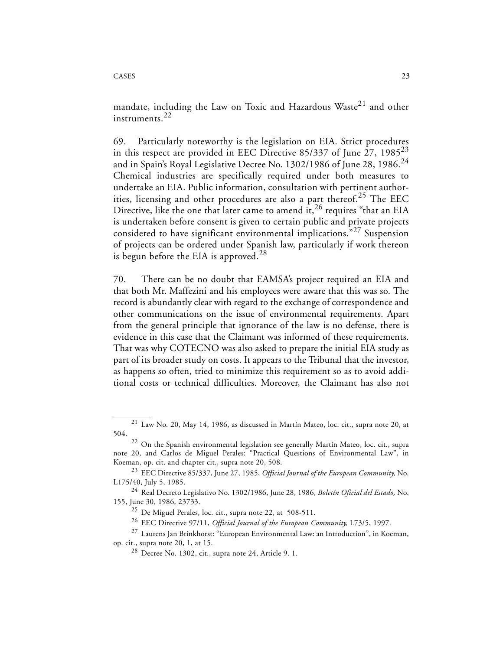mandate, including the Law on Toxic and Hazardous Waste<sup>21</sup> and other instruments.<sup>22</sup>

69. Particularly noteworthy is the legislation on EIA. Strict procedures in this respect are provided in EEC Directive  $85/337$  of June 27,  $1985^{23}$ and in Spain's Royal Legislative Decree No. 1302/1986 of June 28, 1986.<sup>24</sup> Chemical industries are specifically required under both measures to undertake an EIA. Public information, consultation with pertinent authorities, licensing and other procedures are also a part thereof.<sup>25</sup> The EEC Directive, like the one that later came to amend  $\text{i}t$ ,  $^{26}$  requires "that an EIA is undertaken before consent is given to certain public and private projects considered to have significant environmental implications."27 Suspension of projects can be ordered under Spanish law, particularly if work thereon is begun before the EIA is approved.<sup>28</sup>

70. There can be no doubt that EAMSA's project required an EIA and that both Mr. Maffezini and his employees were aware that this was so. The record is abundantly clear with regard to the exchange of correspondence and other communications on the issue of environmental requirements. Apart from the general principle that ignorance of the law is no defense, there is evidence in this case that the Claimant was informed of these requirements. That was why COTECNO was also asked to prepare the initial EIA study as part of its broader study on costs. It appears to the Tribunal that the investor, as happens so often, tried to minimize this requirement so as to avoid additional costs or technical difficulties. Moreover, the Claimant has also not

 $21$  Law No. 20, May 14, 1986, as discussed in Martín Mateo, loc. cit., supra note 20, at 504.

<sup>&</sup>lt;sup>22</sup> On the Spanish environmental legislation see generally Martín Mateo, loc. cit., supra note 20, and Carlos de Miguel Perales: "Practical Questions of Environmental Law", in Koeman, op. cit. and chapter cit., supra note 20, 508.

<sup>23</sup> EEC Directive 85/337, June 27, 1985, *Official Journal of the European Community,* No. L175/40, July 5, 1985.

<sup>24</sup> Real Decreto Legislativo No. 1302/1986, June 28, 1986, *Boletín Oficial del Estado,* No. 155, June 30, 1986, 23733.

<sup>25</sup> De Miguel Perales, loc. cit., supra note 22, at 508-511.

<sup>26</sup> EEC Directive 97/11, *Official Journal of the European Community,* L73/5, 1997.

<sup>27</sup> Laurens Jan Brinkhorst: "European Environmental Law: an Introduction", in Koeman,

op. cit., supra note 20, 1, at 15.

<sup>28</sup> Decree No. 1302, cit., supra note 24, Article 9. 1.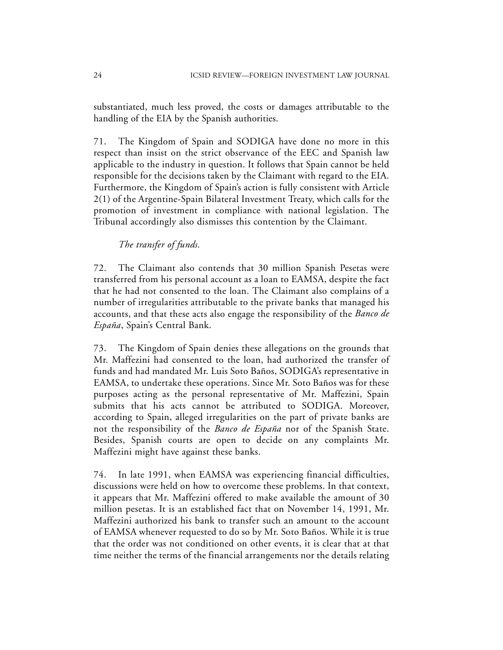substantiated, much less proved, the costs or damages attributable to the handling of the EIA by the Spanish authorities.

71. The Kingdom of Spain and SODIGA have done no more in this respect than insist on the strict observance of the EEC and Spanish law applicable to the industry in question. It follows that Spain cannot be held responsible for the decisions taken by the Claimant with regard to the EIA. Furthermore, the Kingdom of Spain's action is fully consistent with Article 2(1) of the Argentine-Spain Bilateral Investment Treaty, which calls for the promotion of investment in compliance with national legislation. The Tribunal accordingly also dismisses this contention by the Claimant.

*The transfer of funds.*

72. The Claimant also contends that 30 million Spanish Pesetas were transferred from his personal account as a loan to EAMSA, despite the fact that he had not consented to the loan. The Claimant also complains of a number of irregularities attributable to the private banks that managed his accounts, and that these acts also engage the responsibility of the *Banco de España*, Spain's Central Bank.

73. The Kingdom of Spain denies these allegations on the grounds that Mr. Maffezini had consented to the loan, had authorized the transfer of funds and had mandated Mr. Luis Soto Baños, SODIGA's representative in EAMSA, to undertake these operations. Since Mr. Soto Baños was for these purposes acting as the personal representative of Mr. Maffezini, Spain submits that his acts cannot be attributed to SODIGA. Moreover, according to Spain, alleged irregularities on the part of private banks are not the responsibility of the *Banco de España* nor of the Spanish State. Besides, Spanish courts are open to decide on any complaints Mr. Maffezini might have against these banks.

74. In late 1991, when EAMSA was experiencing financial difficulties, discussions were held on how to overcome these problems. In that context, it appears that Mr. Maffezini offered to make available the amount of 30 million pesetas. It is an established fact that on November 14, 1991, Mr. Maffezini authorized his bank to transfer such an amount to the account of EAMSA whenever requested to do so by Mr. Soto Baños. While it is true that the order was not conditioned on other events, it is clear that at that time neither the terms of the financial arrangements nor the details relating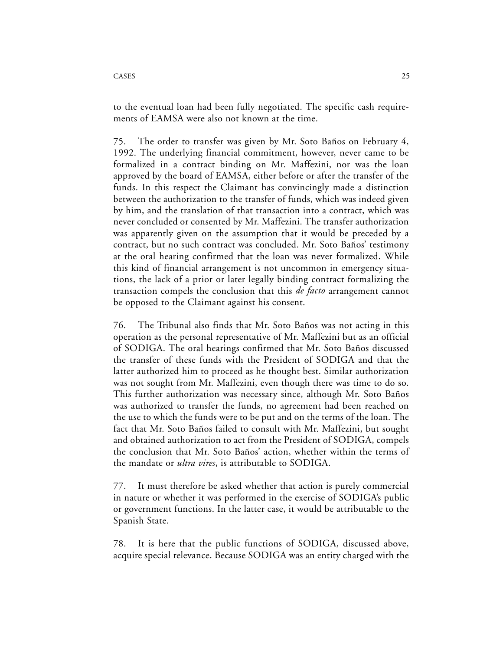to the eventual loan had been fully negotiated. The specific cash requirements of EAMSA were also not known at the time.

75. The order to transfer was given by Mr. Soto Baños on February 4, 1992. The underlying financial commitment, however, never came to be formalized in a contract binding on Mr. Maffezini, nor was the loan approved by the board of EAMSA, either before or after the transfer of the funds. In this respect the Claimant has convincingly made a distinction between the authorization to the transfer of funds, which was indeed given by him, and the translation of that transaction into a contract, which was never concluded or consented by Mr. Maffezini. The transfer authorization was apparently given on the assumption that it would be preceded by a contract, but no such contract was concluded. Mr. Soto Baños' testimony at the oral hearing confirmed that the loan was never formalized. While this kind of financial arrangement is not uncommon in emergency situations, the lack of a prior or later legally binding contract formalizing the transaction compels the conclusion that this *de facto* arrangement cannot be opposed to the Claimant against his consent.

76. The Tribunal also finds that Mr. Soto Baños was not acting in this operation as the personal representative of Mr. Maffezini but as an official of SODIGA. The oral hearings confirmed that Mr. Soto Baños discussed the transfer of these funds with the President of SODIGA and that the latter authorized him to proceed as he thought best. Similar authorization was not sought from Mr. Maffezini, even though there was time to do so. This further authorization was necessary since, although Mr. Soto Baños was authorized to transfer the funds, no agreement had been reached on the use to which the funds were to be put and on the terms of the loan. The fact that Mr. Soto Baños failed to consult with Mr. Maffezini, but sought and obtained authorization to act from the President of SODIGA, compels the conclusion that Mr. Soto Baños' action, whether within the terms of the mandate or *ultra vires*, is attributable to SODIGA.

77. It must therefore be asked whether that action is purely commercial in nature or whether it was performed in the exercise of SODIGA's public or government functions. In the latter case, it would be attributable to the Spanish State.

78. It is here that the public functions of SODIGA, discussed above, acquire special relevance. Because SODIGA was an entity charged with the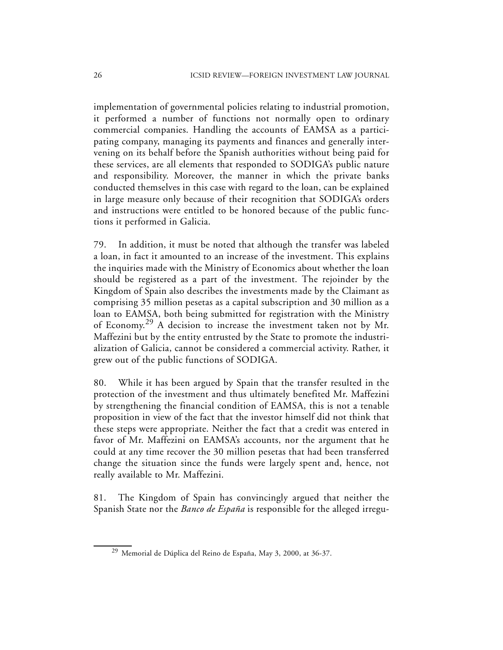implementation of governmental policies relating to industrial promotion, it performed a number of functions not normally open to ordinary commercial companies. Handling the accounts of EAMSA as a participating company, managing its payments and finances and generally intervening on its behalf before the Spanish authorities without being paid for these services, are all elements that responded to SODIGA's public nature and responsibility. Moreover, the manner in which the private banks conducted themselves in this case with regard to the loan, can be explained in large measure only because of their recognition that SODIGA's orders and instructions were entitled to be honored because of the public functions it performed in Galicia.

79. In addition, it must be noted that although the transfer was labeled a loan, in fact it amounted to an increase of the investment. This explains the inquiries made with the Ministry of Economics about whether the loan should be registered as a part of the investment. The rejoinder by the Kingdom of Spain also describes the investments made by the Claimant as comprising 35 million pesetas as a capital subscription and 30 million as a loan to EAMSA, both being submitted for registration with the Ministry of Economy.29 A decision to increase the investment taken not by Mr. Maffezini but by the entity entrusted by the State to promote the industrialization of Galicia, cannot be considered a commercial activity. Rather, it grew out of the public functions of SODIGA.

80. While it has been argued by Spain that the transfer resulted in the protection of the investment and thus ultimately benefited Mr. Maffezini by strengthening the financial condition of EAMSA, this is not a tenable proposition in view of the fact that the investor himself did not think that these steps were appropriate. Neither the fact that a credit was entered in favor of Mr. Maffezini on EAMSA's accounts, nor the argument that he could at any time recover the 30 million pesetas that had been transferred change the situation since the funds were largely spent and, hence, not really available to Mr. Maffezini.

81. The Kingdom of Spain has convincingly argued that neither the Spanish State nor the *Banco de España* is responsible for the alleged irregu-

<sup>29</sup> Memorial de Dúplica del Reino de España, May 3, 2000, at 36-37.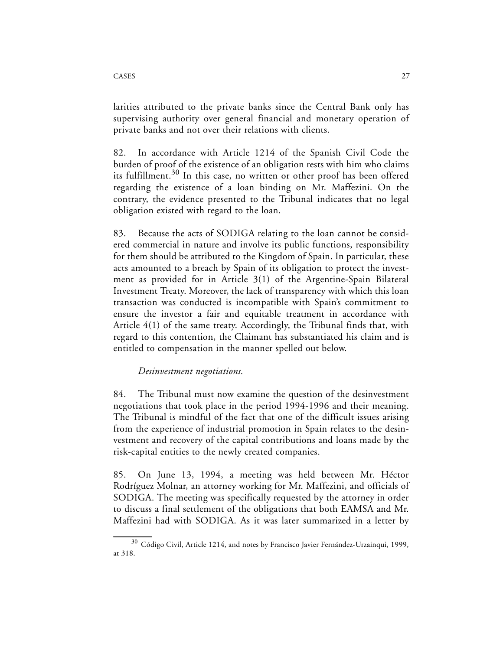larities attributed to the private banks since the Central Bank only has supervising authority over general financial and monetary operation of private banks and not over their relations with clients.

82. In accordance with Article 1214 of the Spanish Civil Code the burden of proof of the existence of an obligation rests with him who claims its fulfillment.<sup>30</sup> In this case, no written or other proof has been offered regarding the existence of a loan binding on Mr. Maffezini. On the contrary, the evidence presented to the Tribunal indicates that no legal obligation existed with regard to the loan.

83. Because the acts of SODIGA relating to the loan cannot be considered commercial in nature and involve its public functions, responsibility for them should be attributed to the Kingdom of Spain. In particular, these acts amounted to a breach by Spain of its obligation to protect the investment as provided for in Article 3(1) of the Argentine-Spain Bilateral Investment Treaty. Moreover, the lack of transparency with which this loan transaction was conducted is incompatible with Spain's commitment to ensure the investor a fair and equitable treatment in accordance with Article 4(1) of the same treaty. Accordingly, the Tribunal finds that, with regard to this contention, the Claimant has substantiated his claim and is entitled to compensation in the manner spelled out below.

*Desinvestment negotiations.*

84. The Tribunal must now examine the question of the desinvestment negotiations that took place in the period 1994-1996 and their meaning. The Tribunal is mindful of the fact that one of the difficult issues arising from the experience of industrial promotion in Spain relates to the desinvestment and recovery of the capital contributions and loans made by the risk-capital entities to the newly created companies.

85. On June 13, 1994, a meeting was held between Mr. Héctor Rodríguez Molnar, an attorney working for Mr. Maffezini, and officials of SODIGA. The meeting was specifically requested by the attorney in order to discuss a final settlement of the obligations that both EAMSA and Mr. Maffezini had with SODIGA. As it was later summarized in a letter by

 $30$  Código Civil, Article 1214, and notes by Francisco Javier Fernández-Urzainqui, 1999, at 318.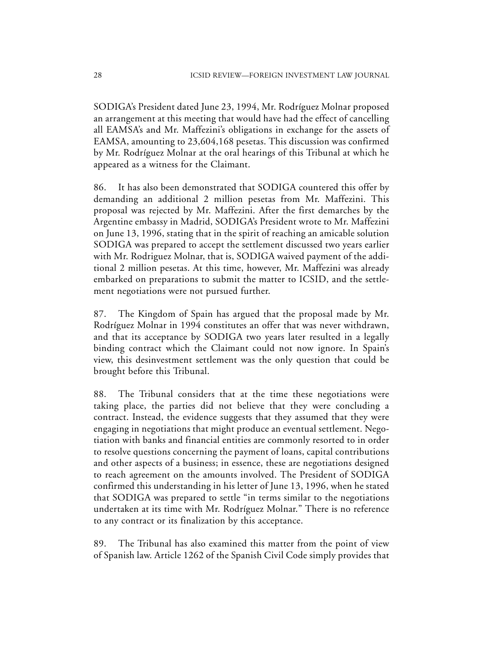SODIGA's President dated June 23, 1994, Mr. Rodríguez Molnar proposed an arrangement at this meeting that would have had the effect of cancelling all EAMSA's and Mr. Maffezini's obligations in exchange for the assets of EAMSA, amounting to 23,604,168 pesetas. This discussion was confirmed by Mr. Rodríguez Molnar at the oral hearings of this Tribunal at which he appeared as a witness for the Claimant.

86. It has also been demonstrated that SODIGA countered this offer by demanding an additional 2 million pesetas from Mr. Maffezini. This proposal was rejected by Mr. Maffezini. After the first demarches by the Argentine embassy in Madrid, SODIGA's President wrote to Mr. Maffezini on June 13, 1996, stating that in the spirit of reaching an amicable solution SODIGA was prepared to accept the settlement discussed two years earlier with Mr. Rodriguez Molnar, that is, SODIGA waived payment of the additional 2 million pesetas. At this time, however, Mr. Maffezini was already embarked on preparations to submit the matter to ICSID, and the settlement negotiations were not pursued further.

87. The Kingdom of Spain has argued that the proposal made by Mr. Rodríguez Molnar in 1994 constitutes an offer that was never withdrawn, and that its acceptance by SODIGA two years later resulted in a legally binding contract which the Claimant could not now ignore. In Spain's view, this desinvestment settlement was the only question that could be brought before this Tribunal.

88. The Tribunal considers that at the time these negotiations were taking place, the parties did not believe that they were concluding a contract. Instead, the evidence suggests that they assumed that they were engaging in negotiations that might produce an eventual settlement. Negotiation with banks and financial entities are commonly resorted to in order to resolve questions concerning the payment of loans, capital contributions and other aspects of a business; in essence, these are negotiations designed to reach agreement on the amounts involved. The President of SODIGA confirmed this understanding in his letter of June 13, 1996, when he stated that SODIGA was prepared to settle "in terms similar to the negotiations undertaken at its time with Mr. Rodríguez Molnar." There is no reference to any contract or its finalization by this acceptance.

89. The Tribunal has also examined this matter from the point of view of Spanish law. Article 1262 of the Spanish Civil Code simply provides that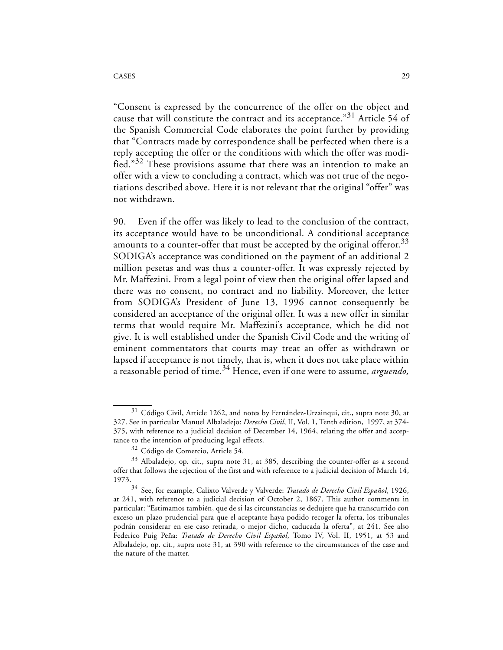#### CASES 29

"Consent is expressed by the concurrence of the offer on the object and cause that will constitute the contract and its acceptance."<sup>31</sup> Article 54 of the Spanish Commercial Code elaborates the point further by providing that "Contracts made by correspondence shall be perfected when there is a reply accepting the offer or the conditions with which the offer was modified." $32$  These provisions assume that there was an intention to make an offer with a view to concluding a contract, which was not true of the negotiations described above. Here it is not relevant that the original "offer" was not withdrawn.

90. Even if the offer was likely to lead to the conclusion of the contract, its acceptance would have to be unconditional. A conditional acceptance amounts to a counter-offer that must be accepted by the original offeror.<sup>33</sup> SODIGA's acceptance was conditioned on the payment of an additional 2 million pesetas and was thus a counter-offer. It was expressly rejected by Mr. Maffezini. From a legal point of view then the original offer lapsed and there was no consent, no contract and no liability. Moreover, the letter from SODIGA's President of June 13, 1996 cannot consequently be considered an acceptance of the original offer. It was a new offer in similar terms that would require Mr. Maffezini's acceptance, which he did not give. It is well established under the Spanish Civil Code and the writing of eminent commentators that courts may treat an offer as withdrawn or lapsed if acceptance is not timely, that is, when it does not take place within a reasonable period of time.34 Hence, even if one were to assume, *arguendo,*

<sup>&</sup>lt;sup>31</sup> Código Civil, Article 1262, and notes by Fernández-Urzainqui, cit., supra note 30, at 327. See in particular Manuel Albaladejo: *Derecho Civil*, II, Vol. 1, Tenth edition, 1997, at 374- 375, with reference to a judicial decision of December 14, 1964, relating the offer and acceptance to the intention of producing legal effects.

<sup>32</sup> Código de Comercio, Article 54.

<sup>33</sup> Albaladejo, op. cit., supra note 31, at 385, describing the counter-offer as a second offer that follows the rejection of the first and with reference to a judicial decision of March 14, 1973.

<sup>34</sup> See, for example, Calixto Valverde y Valverde: *Tratado de Derecho Civil Español*, 1926, at 241, with reference to a judicial decision of October 2, 1867. This author comments in particular: "Estimamos también, que de si las circunstancias se dedujere que ha transcurrido con exceso un plazo prudencial para que el aceptante haya podido recoger la oferta, los tribunales podrán considerar en ese caso retirada, o mejor dicho, caducada la oferta", at 241. See also Federico Puig Peña: *Tratado de Derecho Civil Español*, Tomo IV, Vol. II, 1951, at 53 and Albaladejo, op. cit., supra note 31, at 390 with reference to the circumstances of the case and the nature of the matter.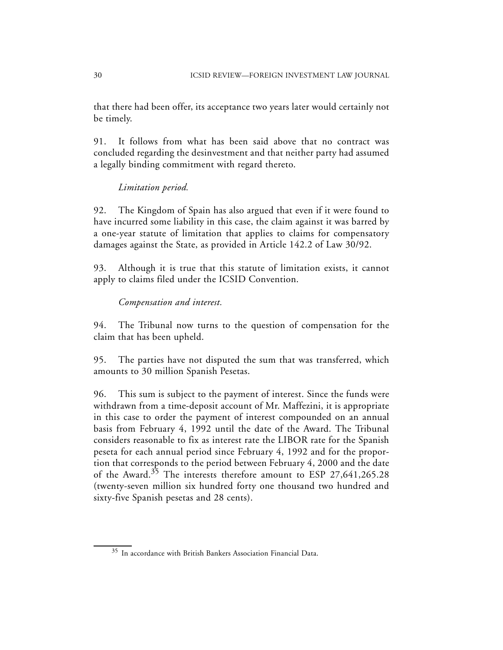that there had been offer, its acceptance two years later would certainly not be timely.

91. It follows from what has been said above that no contract was concluded regarding the desinvestment and that neither party had assumed a legally binding commitment with regard thereto.

## *Limitation period.*

92. The Kingdom of Spain has also argued that even if it were found to have incurred some liability in this case, the claim against it was barred by a one-year statute of limitation that applies to claims for compensatory damages against the State, as provided in Article 142.2 of Law 30/92.

93. Although it is true that this statute of limitation exists, it cannot apply to claims filed under the ICSID Convention.

## *Compensation and interest.*

94. The Tribunal now turns to the question of compensation for the claim that has been upheld.

95. The parties have not disputed the sum that was transferred, which amounts to 30 million Spanish Pesetas.

96. This sum is subject to the payment of interest. Since the funds were withdrawn from a time-deposit account of Mr. Maffezini, it is appropriate in this case to order the payment of interest compounded on an annual basis from February 4, 1992 until the date of the Award. The Tribunal considers reasonable to fix as interest rate the LIBOR rate for the Spanish peseta for each annual period since February 4, 1992 and for the proportion that corresponds to the period between February 4, 2000 and the date of the Award.35 The interests therefore amount to ESP 27,641,265.28 (twenty-seven million six hundred forty one thousand two hundred and sixty-five Spanish pesetas and 28 cents).

<sup>35</sup> In accordance with British Bankers Association Financial Data.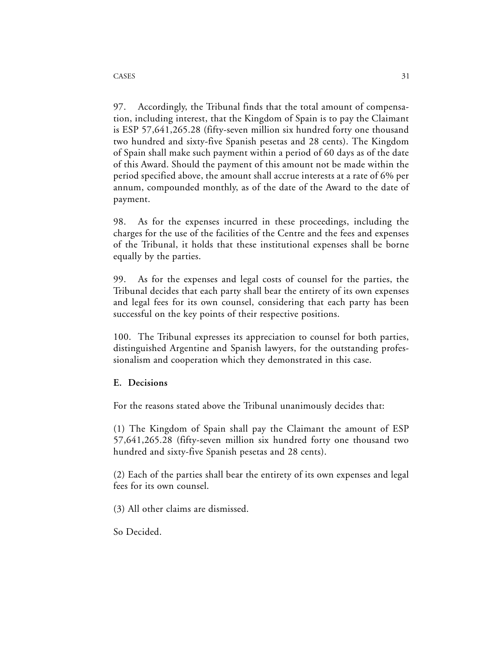97. Accordingly, the Tribunal finds that the total amount of compensation, including interest, that the Kingdom of Spain is to pay the Claimant is ESP 57,641,265.28 (fifty-seven million six hundred forty one thousand two hundred and sixty-five Spanish pesetas and 28 cents). The Kingdom of Spain shall make such payment within a period of 60 days as of the date of this Award. Should the payment of this amount not be made within the period specified above, the amount shall accrue interests at a rate of 6% per annum, compounded monthly, as of the date of the Award to the date of payment.

98. As for the expenses incurred in these proceedings, including the charges for the use of the facilities of the Centre and the fees and expenses of the Tribunal, it holds that these institutional expenses shall be borne equally by the parties.

99. As for the expenses and legal costs of counsel for the parties, the Tribunal decides that each party shall bear the entirety of its own expenses and legal fees for its own counsel, considering that each party has been successful on the key points of their respective positions.

100. The Tribunal expresses its appreciation to counsel for both parties, distinguished Argentine and Spanish lawyers, for the outstanding professionalism and cooperation which they demonstrated in this case.

### **E. Decisions**

For the reasons stated above the Tribunal unanimously decides that:

(1) The Kingdom of Spain shall pay the Claimant the amount of ESP 57,641,265.28 (fifty-seven million six hundred forty one thousand two hundred and sixty-five Spanish pesetas and 28 cents).

(2) Each of the parties shall bear the entirety of its own expenses and legal fees for its own counsel.

(3) All other claims are dismissed.

So Decided.